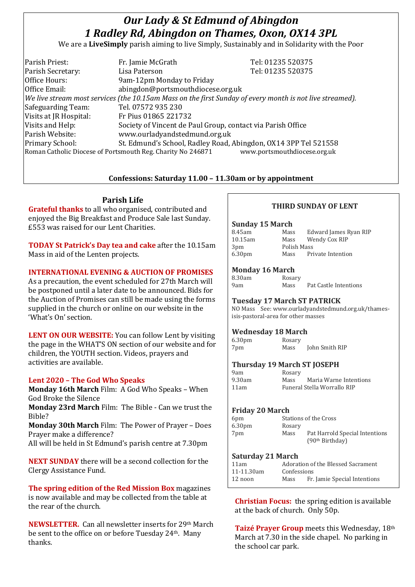# *Our Lady & St Edmund of Abingdon 1 Radley Rd, Abingdon on Thames, Oxon, OX14 3PL*

We are a **LiveSimply** parish aiming to live Simply, Sustainably and in Solidarity with the Poor

| Parish Priest:         | Fr. Jamie McGrath                                                                                            | Tel: 01235 520375            |
|------------------------|--------------------------------------------------------------------------------------------------------------|------------------------------|
| Parish Secretary:      | Lisa Paterson                                                                                                | Tel: 01235 520375            |
| Office Hours:          | 9am-12pm Monday to Friday                                                                                    |                              |
| Office Email:          | abingdon@portsmouthdiocese.org.uk                                                                            |                              |
|                        | $ $ We live stream most services (the 10.15am Mass on the first Sunday of every month is not live streamed). |                              |
| Safeguarding Team:     | Tel. 07572 935 230                                                                                           |                              |
| Visits at JR Hospital: | Fr Pius 01865 221732                                                                                         |                              |
| Visits and Help:       | Society of Vincent de Paul Group, contact via Parish Office                                                  |                              |
| Parish Website:        | www.ourladyandstedmund.org.uk                                                                                |                              |
| Primary School:        | St. Edmund's School, Radley Road, Abingdon, OX14 3PP Tel 521558                                              |                              |
|                        | Roman Catholic Diocese of Portsmouth Reg. Charity No 246871                                                  | www.portsmouthdiocese.org.uk |

## **Confessions: Saturday 11.00 – 11.30am or by appointment**

## **Parish Life**

**Grateful thanks** to all who organised, contributed and enjoyed the Big Breakfast and Produce Sale last Sunday. £553 was raised for our Lent Charities.

**TODAY St Patrick's Day tea and cake** after the 10.15am Mass in aid of the Lenten projects.

#### **INTERNATIONAL EVENING & AUCTION OF PROMISES**

As a precaution, the event scheduled for 27th March will be postponed until a later date to be announced. Bids for the Auction of Promises can still be made using the forms supplied in the church or online on our website in the 'What's On' section.

**LENT ON OUR WEBSITE:** You can follow Lent by visiting the page in the WHAT'S ON section of our website and for children, the YOUTH section. Videos, prayers and activities are available.

### **Lent 2020 – The God Who Speaks**

**Monday 16th March** Film: A God Who Speaks – When God Broke the Silence

**Monday 23rd March** Film: The Bible - Can we trust the Bible?

**Monday 30th March** Film: The Power of Prayer – Does Prayer make a difference?

All will be held in St Edmund's parish centre at 7.30pm

**NEXT SUNDAY** there will be a second collection for the Clergy Assistance Fund.

**The spring edition of the Red Mission Box** magazines is now available and may be collected from the table at the rear of the church.

**NEWSLETTER.** Can all newsletter inserts for 29<sup>th</sup> March be sent to the office on or before Tuesday 24th. Many thanks.

## **THIRD SUNDAY OF LENT**

#### **Sunday 15 March**

| Mass        | Edward James Ryan RIP |
|-------------|-----------------------|
| Mass        | Wendy Cox RIP         |
| Polish Mass |                       |
| Mass        | Private Intention     |
|             |                       |

## **Monday 16 March**

| 8.30am | Rosary |                       |
|--------|--------|-----------------------|
| 9am    | Mass   | Pat Castle Intentions |

### **Tuesday 17 March ST PATRICK**

NO Mass See: www.ourladyandstedmund.org.uk/thamesisis-pastoral-area for other masses

### **Wednesday 18 March**

6.30pm Rosary 7pm Mass John Smith RIP

## **Thursday 19 March ST JOSEPH**

| yam    |  |
|--------|--|
| 9.30am |  |
| 11am   |  |

Rosary Mass Maria Warne Intentions Funeral Stella Worrallo RIP

### **Friday 20 March**

| 6pm                |        | Stations of the Cross          |
|--------------------|--------|--------------------------------|
| 6.30 <sub>pm</sub> | Rosary |                                |
| 7pm                | Mass   | Pat Harrold Special Intentions |
|                    |        | (90 <sup>th</sup> Birthday)    |

#### **Saturday 21 March**

| 11am       |             | Adoration of the Blessed Sacrament |
|------------|-------------|------------------------------------|
| 11-11.30am | Confessions |                                    |
| $12$ noon  | Mass        | Fr. Jamie Special Intentions       |

**Christian Focus:** the spring edition is available at the back of church. Only 50p.

**Taizé Prayer Group** meets this Wednesday, 18th March at 7.30 in the side chapel. No parking in the school car park.